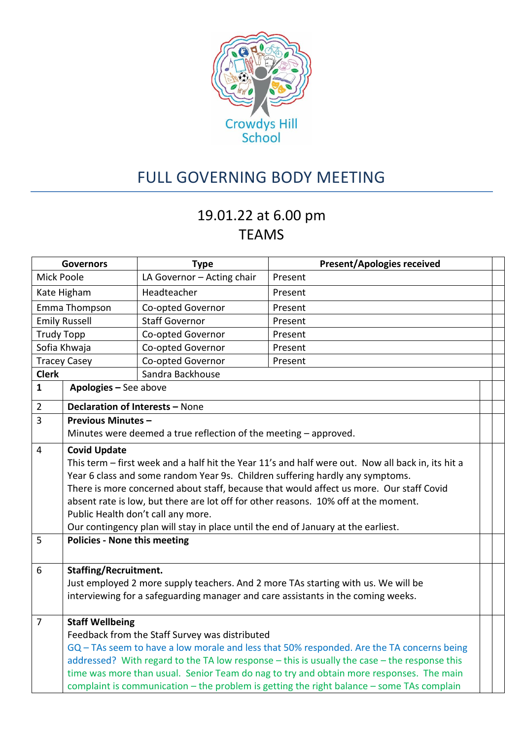

## FULL GOVERNING BODY MEETING

## 19.01.22 at 6.00 pm TEAMS

| <b>Governors</b>                                                                             |                                                                                           | <b>Type</b>                                                                       | <b>Present/Apologies received</b>                                                                 |  |  |  |
|----------------------------------------------------------------------------------------------|-------------------------------------------------------------------------------------------|-----------------------------------------------------------------------------------|---------------------------------------------------------------------------------------------------|--|--|--|
| <b>Mick Poole</b>                                                                            |                                                                                           | LA Governor - Acting chair                                                        | Present                                                                                           |  |  |  |
| Kate Higham                                                                                  |                                                                                           | Headteacher                                                                       | Present                                                                                           |  |  |  |
| Emma Thompson                                                                                |                                                                                           | Co-opted Governor                                                                 | Present                                                                                           |  |  |  |
| <b>Emily Russell</b>                                                                         |                                                                                           | <b>Staff Governor</b>                                                             | Present                                                                                           |  |  |  |
| <b>Trudy Topp</b>                                                                            |                                                                                           | Co-opted Governor                                                                 | Present                                                                                           |  |  |  |
| Sofia Khwaja                                                                                 |                                                                                           | Co-opted Governor                                                                 | Present                                                                                           |  |  |  |
| <b>Tracey Casey</b>                                                                          |                                                                                           | Co-opted Governor                                                                 | Present                                                                                           |  |  |  |
| <b>Clerk</b>                                                                                 |                                                                                           | Sandra Backhouse                                                                  |                                                                                                   |  |  |  |
| $\mathbf{1}$                                                                                 | Apologies - See above                                                                     |                                                                                   |                                                                                                   |  |  |  |
| $\overline{2}$                                                                               | Declaration of Interests - None                                                           |                                                                                   |                                                                                                   |  |  |  |
| 3                                                                                            | <b>Previous Minutes -</b>                                                                 |                                                                                   |                                                                                                   |  |  |  |
|                                                                                              | Minutes were deemed a true reflection of the meeting - approved.                          |                                                                                   |                                                                                                   |  |  |  |
| $\overline{4}$                                                                               | <b>Covid Update</b>                                                                       |                                                                                   |                                                                                                   |  |  |  |
|                                                                                              |                                                                                           |                                                                                   | This term - first week and a half hit the Year 11's and half were out. Now all back in, its hit a |  |  |  |
|                                                                                              | Year 6 class and some random Year 9s. Children suffering hardly any symptoms.             |                                                                                   |                                                                                                   |  |  |  |
|                                                                                              | There is more concerned about staff, because that would affect us more. Our staff Covid   |                                                                                   |                                                                                                   |  |  |  |
|                                                                                              | absent rate is low, but there are lot off for other reasons. 10% off at the moment.       |                                                                                   |                                                                                                   |  |  |  |
|                                                                                              | Public Health don't call any more.                                                        |                                                                                   |                                                                                                   |  |  |  |
|                                                                                              |                                                                                           | Our contingency plan will stay in place until the end of January at the earliest. |                                                                                                   |  |  |  |
| 5                                                                                            | <b>Policies - None this meeting</b>                                                       |                                                                                   |                                                                                                   |  |  |  |
|                                                                                              |                                                                                           |                                                                                   |                                                                                                   |  |  |  |
| 6                                                                                            | <b>Staffing/Recruitment.</b>                                                              |                                                                                   |                                                                                                   |  |  |  |
|                                                                                              | Just employed 2 more supply teachers. And 2 more TAs starting with us. We will be         |                                                                                   |                                                                                                   |  |  |  |
|                                                                                              |                                                                                           |                                                                                   | interviewing for a safeguarding manager and care assistants in the coming weeks.                  |  |  |  |
| $\overline{7}$                                                                               | <b>Staff Wellbeing</b>                                                                    |                                                                                   |                                                                                                   |  |  |  |
|                                                                                              | Feedback from the Staff Survey was distributed                                            |                                                                                   |                                                                                                   |  |  |  |
|                                                                                              | GQ - TAs seem to have a low morale and less that 50% responded. Are the TA concerns being |                                                                                   |                                                                                                   |  |  |  |
| addressed? With regard to the TA low response - this is usually the case - the response this |                                                                                           |                                                                                   |                                                                                                   |  |  |  |
|                                                                                              |                                                                                           |                                                                                   | time was more than usual. Senior Team do nag to try and obtain more responses. The main           |  |  |  |
|                                                                                              |                                                                                           |                                                                                   | complaint is communication - the problem is getting the right balance - some TAs complain         |  |  |  |
|                                                                                              |                                                                                           |                                                                                   |                                                                                                   |  |  |  |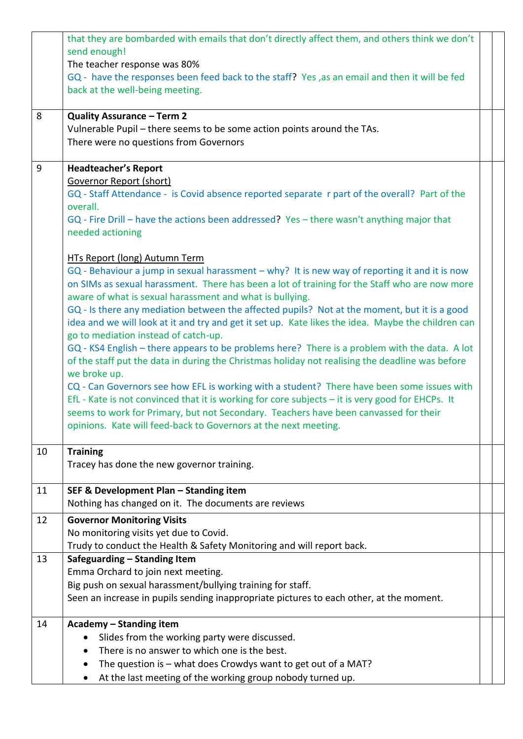|    | that they are bombarded with emails that don't directly affect them, and others think we don't     |  |  |
|----|----------------------------------------------------------------------------------------------------|--|--|
|    | send enough!                                                                                       |  |  |
|    | The teacher response was 80%                                                                       |  |  |
|    | GQ - have the responses been feed back to the staff? Yes, as an email and then it will be fed      |  |  |
|    | back at the well-being meeting.                                                                    |  |  |
|    |                                                                                                    |  |  |
| 8  | Quality Assurance - Term 2                                                                         |  |  |
|    | Vulnerable Pupil - there seems to be some action points around the TAs.                            |  |  |
|    | There were no questions from Governors                                                             |  |  |
|    |                                                                                                    |  |  |
| 9  | <b>Headteacher's Report</b>                                                                        |  |  |
|    | Governor Report (short)                                                                            |  |  |
|    | GQ - Staff Attendance - is Covid absence reported separate r part of the overall? Part of the      |  |  |
|    | overall.                                                                                           |  |  |
|    | GQ - Fire Drill - have the actions been addressed? Yes - there wasn't anything major that          |  |  |
|    | needed actioning                                                                                   |  |  |
|    |                                                                                                    |  |  |
|    | <b>HTs Report (long) Autumn Term</b>                                                               |  |  |
|    | GQ - Behaviour a jump in sexual harassment - why? It is new way of reporting it and it is now      |  |  |
|    | on SIMs as sexual harassment. There has been a lot of training for the Staff who are now more      |  |  |
|    | aware of what is sexual harassment and what is bullying.                                           |  |  |
|    | GQ - Is there any mediation between the affected pupils? Not at the moment, but it is a good       |  |  |
|    | idea and we will look at it and try and get it set up. Kate likes the idea. Maybe the children can |  |  |
|    | go to mediation instead of catch-up.                                                               |  |  |
|    | GQ - KS4 English - there appears to be problems here? There is a problem with the data. A lot      |  |  |
|    | of the staff put the data in during the Christmas holiday not realising the deadline was before    |  |  |
|    | we broke up.                                                                                       |  |  |
|    | CQ - Can Governors see how EFL is working with a student? There have been some issues with         |  |  |
|    | EfL - Kate is not convinced that it is working for core subjects - it is very good for EHCPs. It   |  |  |
|    | seems to work for Primary, but not Secondary. Teachers have been canvassed for their               |  |  |
|    | opinions. Kate will feed-back to Governors at the next meeting.                                    |  |  |
|    |                                                                                                    |  |  |
| 10 | <b>Training</b>                                                                                    |  |  |
|    | Tracey has done the new governor training.                                                         |  |  |
|    |                                                                                                    |  |  |
| 11 | SEF & Development Plan - Standing item                                                             |  |  |
|    | Nothing has changed on it. The documents are reviews                                               |  |  |
| 12 | <b>Governor Monitoring Visits</b>                                                                  |  |  |
|    | No monitoring visits yet due to Covid.                                                             |  |  |
|    | Trudy to conduct the Health & Safety Monitoring and will report back.                              |  |  |
| 13 | Safeguarding - Standing Item                                                                       |  |  |
|    | Emma Orchard to join next meeting.                                                                 |  |  |
|    | Big push on sexual harassment/bullying training for staff.                                         |  |  |
|    | Seen an increase in pupils sending inappropriate pictures to each other, at the moment.            |  |  |
|    |                                                                                                    |  |  |
| 14 | Academy - Standing item                                                                            |  |  |
|    | Slides from the working party were discussed.                                                      |  |  |
|    | There is no answer to which one is the best.                                                       |  |  |
|    | The question is - what does Crowdys want to get out of a MAT?                                      |  |  |
|    | At the last meeting of the working group nobody turned up.                                         |  |  |
|    |                                                                                                    |  |  |